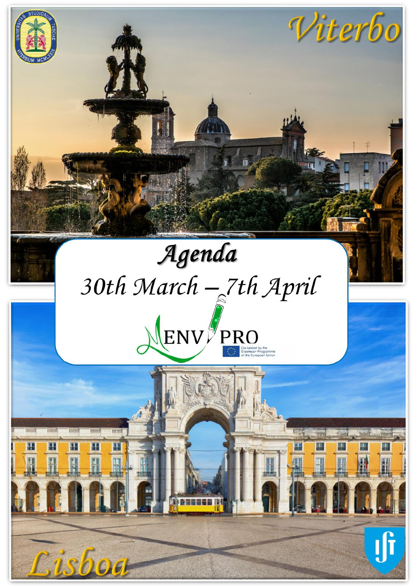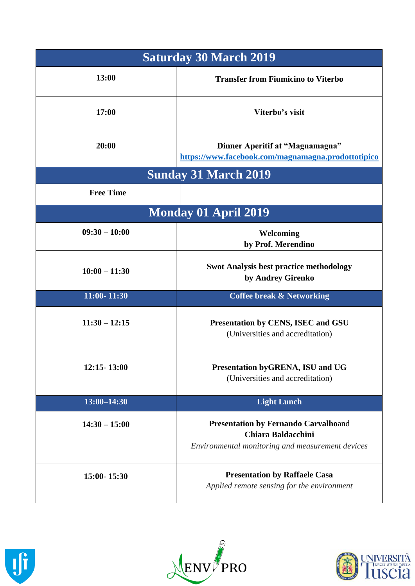| <b>Saturday 30 March 2019</b> |                                                                                                                              |
|-------------------------------|------------------------------------------------------------------------------------------------------------------------------|
| 13:00                         | <b>Transfer from Fiumicino to Viterbo</b>                                                                                    |
| 17:00                         | Viterbo's visit                                                                                                              |
| 20:00                         | Dinner Aperitif at "Magnamagna"<br>https://www.facebook.com/magnamagna.prodottotipico                                        |
| <b>Sunday 31 March 2019</b>   |                                                                                                                              |
| <b>Free Time</b>              |                                                                                                                              |
| <b>Monday 01 April 2019</b>   |                                                                                                                              |
| $09:30 - 10:00$               | Welcoming<br>by Prof. Merendino                                                                                              |
| $10:00 - 11:30$               | <b>Swot Analysis best practice methodology</b><br>by Andrey Girenko                                                          |
| 11:00-11:30                   | <b>Coffee break &amp; Networking</b>                                                                                         |
| $11:30 - 12:15$               | Presentation by CENS, ISEC and GSU<br>(Universities and accreditation)                                                       |
| $12:15 - 13:00$               | Presentation byGRENA, ISU and UG<br>(Universities and accreditation)                                                         |
| $13:00 - 14:30$               | <b>Light Lunch</b>                                                                                                           |
| $14:30 - 15:00$               | <b>Presentation by Fernando Carvalhoand</b><br><b>Chiara Baldacchini</b><br>Environmental monitoring and measurement devices |
| 15:00-15:30                   | <b>Presentation by Raffaele Casa</b><br>Applied remote sensing for the environment                                           |





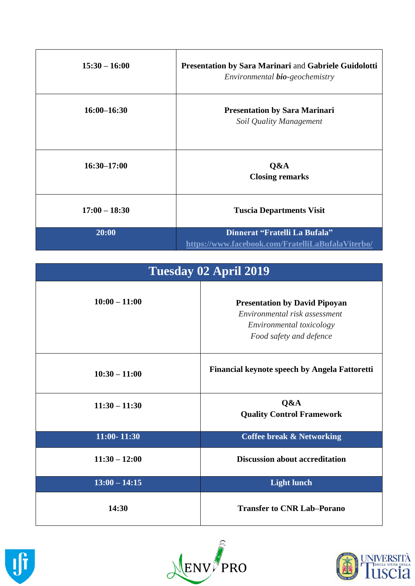| $15:30 - 16:00$ | <b>Presentation by Sara Marinari</b> and Gabriele Guidolotti<br>Environmental <b>bio</b> -geochemistry |
|-----------------|--------------------------------------------------------------------------------------------------------|
| $16:00 - 16:30$ | <b>Presentation by Sara Marinari</b><br>Soil Quality Management                                        |
| $16:30 - 17:00$ | Q&A<br><b>Closing remarks</b>                                                                          |
| $17:00 - 18:30$ | <b>Tuscia Departments Visit</b>                                                                        |
| 20:00           | Dinnerat "Fratelli La Bufala"<br>https://www.facebook.com/FratelliLaBufalaViterbo/                     |

| Tuesday 02 April 2019 |                                                                                                                              |
|-----------------------|------------------------------------------------------------------------------------------------------------------------------|
| $10:00 - 11:00$       | <b>Presentation by David Pipoyan</b><br>Environmental risk assessment<br>Environmental toxicology<br>Food safety and defence |
| $10:30 - 11:00$       | Financial keynote speech by Angela Fattoretti                                                                                |
| $11:30 - 11:30$       | Q&A<br><b>Quality Control Framework</b>                                                                                      |
| 11:00-11:30           | <b>Coffee break &amp; Networking</b>                                                                                         |
| $11:30 - 12:00$       | <b>Discussion about accreditation</b>                                                                                        |
| $13:00 - 14:15$       | <b>Light lunch</b>                                                                                                           |
| 14:30                 | <b>Transfer to CNR Lab-Porano</b>                                                                                            |





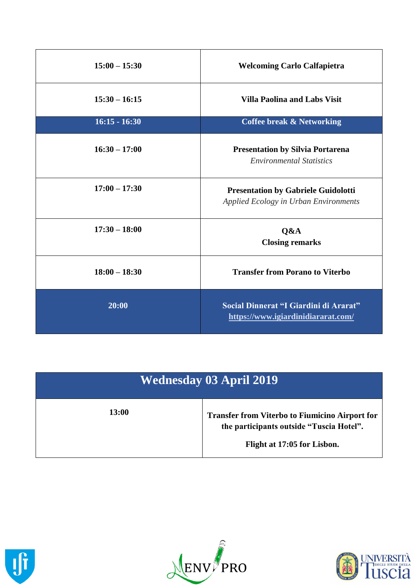| $15:00 - 15:30$ | <b>Welcoming Carlo Calfapietra</b>                                                  |
|-----------------|-------------------------------------------------------------------------------------|
| $15:30 - 16:15$ | <b>Villa Paolina and Labs Visit</b>                                                 |
| $16:15 - 16:30$ | <b>Coffee break &amp; Networking</b>                                                |
| $16:30 - 17:00$ | <b>Presentation by Silvia Portarena</b><br><b>Environmental Statistics</b>          |
| $17:00 - 17:30$ | <b>Presentation by Gabriele Guidolotti</b><br>Applied Ecology in Urban Environments |
| $17:30 - 18:00$ | Q&A<br><b>Closing remarks</b>                                                       |
| $18:00 - 18:30$ | <b>Transfer from Porano to Viterbo</b>                                              |
| 20:00           | Social Dinnerat "I Giardini di Ararat"<br>https://www.igiardinidiararat.com/        |

| Wednesday 03 April 2019 |                                                                                                                                  |
|-------------------------|----------------------------------------------------------------------------------------------------------------------------------|
| <b>13:00</b>            | <b>Transfer from Viterbo to Fiumicino Airport for</b><br>the participants outside "Tuscia Hotel".<br>Flight at 17:05 for Lisbon. |





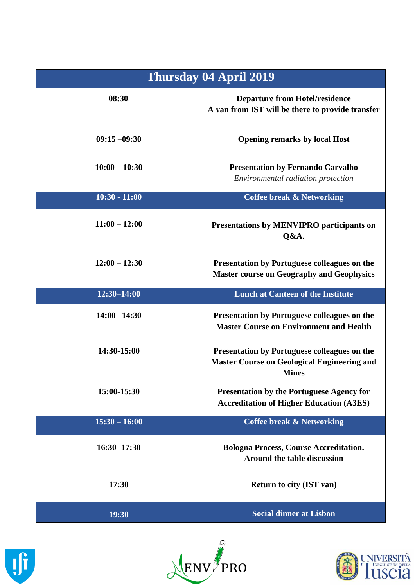| <b>Thursday 04 April 2019</b> |                                                                                                                           |
|-------------------------------|---------------------------------------------------------------------------------------------------------------------------|
| 08:30                         | <b>Departure from Hotel/residence</b><br>A van from IST will be there to provide transfer                                 |
| $09:15 - 09:30$               | <b>Opening remarks by local Host</b>                                                                                      |
| $10:00 - 10:30$               | <b>Presentation by Fernando Carvalho</b><br>Environmental radiation protection                                            |
| $10:30 - 11:00$               | <b>Coffee break &amp; Networking</b>                                                                                      |
| $11:00 - 12:00$               | Presentations by MENVIPRO participants on<br>Q&A.                                                                         |
| $12:00 - 12:30$               | <b>Presentation by Portuguese colleagues on the</b><br><b>Master course on Geography and Geophysics</b>                   |
| 12:30-14:00                   | <b>Lunch at Canteen of the Institute</b>                                                                                  |
| $14:00 - 14:30$               | <b>Presentation by Portuguese colleagues on the</b><br><b>Master Course on Environment and Health</b>                     |
| 14:30-15:00                   | <b>Presentation by Portuguese colleagues on the</b><br><b>Master Course on Geological Engineering and</b><br><b>Mines</b> |
| 15:00-15:30                   | <b>Presentation by the Portuguese Agency for</b><br><b>Accreditation of Higher Education (A3ES)</b>                       |
| $15:30 - 16:00$               | <b>Coffee break &amp; Networking</b>                                                                                      |
| 16:30 -17:30                  | <b>Bologna Process, Course Accreditation.</b><br>Around the table discussion                                              |
| 17:30                         | <b>Return to city (IST van)</b>                                                                                           |
| 19:30                         | <b>Social dinner at Lisbon</b>                                                                                            |





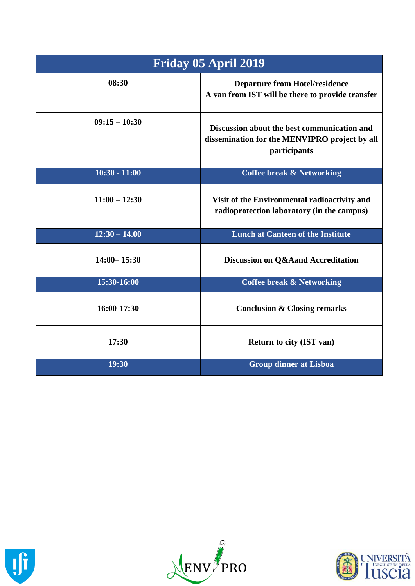| Friday 05 April 2019 |                                                                                                              |
|----------------------|--------------------------------------------------------------------------------------------------------------|
| 08:30                | <b>Departure from Hotel/residence</b><br>A van from IST will be there to provide transfer                    |
| $09:15 - 10:30$      | Discussion about the best communication and<br>dissemination for the MENVIPRO project by all<br>participants |
| $10:30 - 11:00$      | <b>Coffee break &amp; Networking</b>                                                                         |
| $11:00 - 12:30$      | Visit of the Environmental radioactivity and<br>radioprotection laboratory (in the campus)                   |
| $12:30 - 14.00$      | <b>Lunch at Canteen of the Institute</b>                                                                     |
| $14:00 - 15:30$      | Discussion on Q&Aand Accreditation                                                                           |
| 15:30-16:00          | <b>Coffee break &amp; Networking</b>                                                                         |
| 16:00-17:30          | <b>Conclusion &amp; Closing remarks</b>                                                                      |
| 17:30                | <b>Return to city (IST van)</b>                                                                              |
| 19:30                | <b>Group dinner at Lisboa</b>                                                                                |





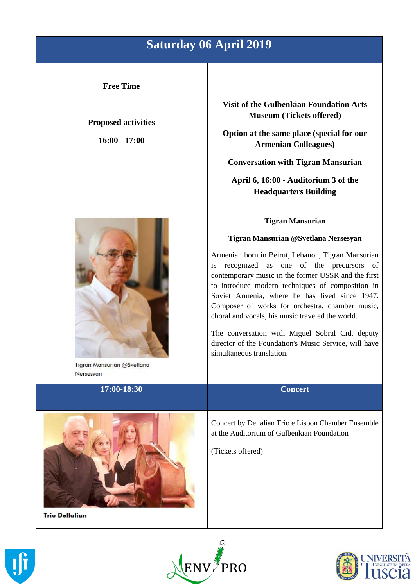## **Saturday 06 April 2019**

**Proposed activities**

**16:00 - 17:00**

**Visit of the Gulbenkian Foundation Arts Museum (Tickets offered)**

**Option at the same place (special for our Armenian Colleagues)**

**Conversation with Tigran Mansurian**

**April 6, 16:00 - Auditorium 3 of the Headquarters Building**



Tigran Mansurian @Svetlana Nersesvan

**Tigran Mansurian**

**Tigran Mansurian @Svetlana Nersesyan** Armenian born in Beirut, Lebanon, Tigran Mansurian is recognized as one of the precursors of

contemporary music in the former USSR and the first to introduce modern techniques of composition in Soviet Armenia, where he has lived since 1947. Composer of works for orchestra, chamber music, choral and vocals, his music traveled the world.

The conversation with Miguel Sobral Cid, deputy director of the Foundation's Music Service, will have simultaneous translation.







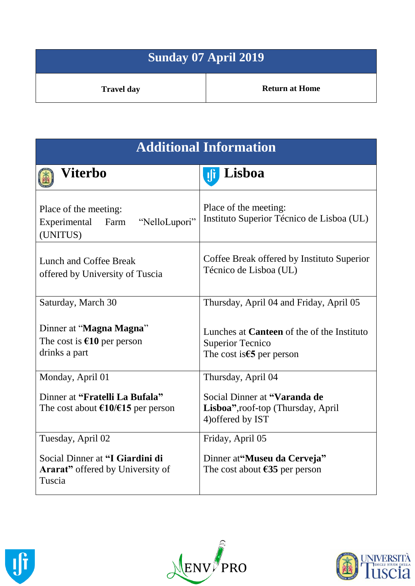| Sunday 07 April 2019 |                       |
|----------------------|-----------------------|
| <b>Travel day</b>    | <b>Return at Home</b> |

| <b>Additional Information</b>                                                            |                                                                                                                     |
|------------------------------------------------------------------------------------------|---------------------------------------------------------------------------------------------------------------------|
| Viterbo                                                                                  | Lisboa<br>Ţļŗ                                                                                                       |
| Place of the meeting:<br>"NelloLupori"<br>Experimental<br>Farm<br>(UNITUS)               | Place of the meeting:<br>Instituto Superior Técnico de Lisboa (UL)                                                  |
| Lunch and Coffee Break<br>offered by University of Tuscia                                | Coffee Break offered by Instituto Superior<br>Técnico de Lisboa (UL)                                                |
| Saturday, March 30                                                                       | Thursday, April 04 and Friday, April 05                                                                             |
| Dinner at "Magna Magna"<br>The cost is $€10$ per person<br>drinks a part                 | Lunches at <b>Canteen</b> of the of the Instituto<br><b>Superior Tecnico</b><br>The cost is $\epsilon$ 5 per person |
| Monday, April 01                                                                         | Thursday, April 04                                                                                                  |
| Dinner at "Fratelli La Bufala"<br>The cost about $\epsilon$ 10/ $\epsilon$ 15 per person | Social Dinner at "Varanda de<br>Lisboa", roof-top (Thursday, April<br>4) offered by IST                             |
| Tuesday, April 02                                                                        | Friday, April 05                                                                                                    |
| Social Dinner at "I Giardini di<br><b>Ararat</b> " offered by University of<br>Tuscia    | Dinner at "Museu da Cerveja"<br>The cost about $\epsilon$ 35 per person                                             |